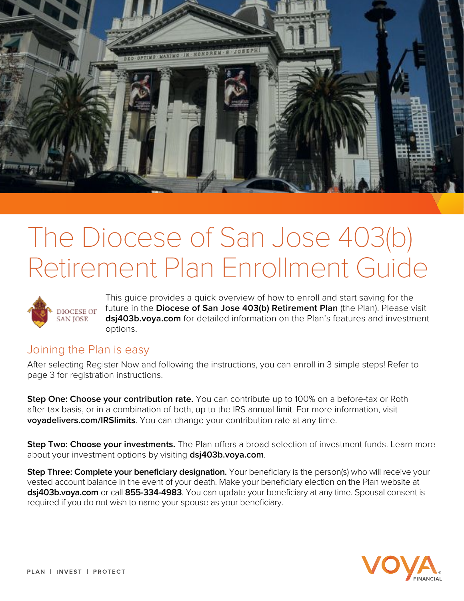

# The Diocese of San Jose 403(b) Retirement Plan Enrollment Guide



This guide provides a quick overview of how to enroll and start saving for the future in the **Diocese of San Jose 403(b) Retirement Plan** (the Plan). Please visit **dsj403b.voya.com** for detailed information on the Plan's features and investment options.

### Joining the Plan is easy

After selecting Register Now and following the instructions, you can enroll in 3 simple steps! Refer to page 3 for registration instructions.

**Step One: Choose your contribution rate.** You can contribute up to 100% on a before-tax or Roth after-tax basis, or in a combination of both, up to the IRS annual limit. For more information, visit **voyadelivers.com/IRSlimits**. You can change your contribution rate at any time.

**Step Two: Choose your investments.** The Plan offers a broad selection of investment funds. Learn more about your investment options by visiting **dsj403b.voya.com**.

**Step Three: Complete your beneficiary designation.** Your beneficiary is the person(s) who will receive your vested account balance in the event of your death. Make your beneficiary election on the Plan website at **dsj403b.voya.com** or call **855-334-4983**. You can update your beneficiary at any time. Spousal consent is required if you do not wish to name your spouse as your beneficiary.

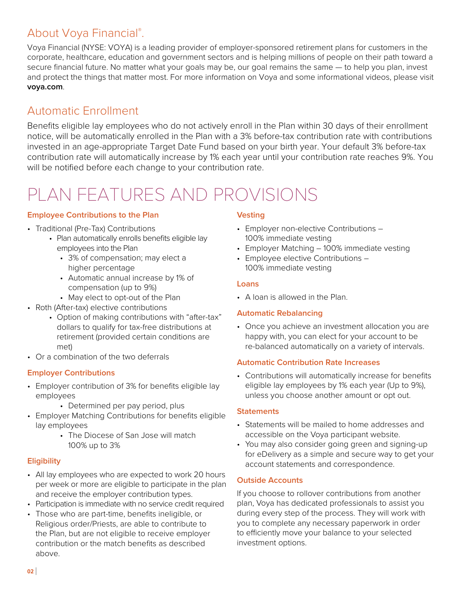## About Voya Financial®.

Voya Financial (NYSE: VOYA) is a leading provider of employer-sponsored retirement plans for customers in the corporate, healthcare, education and government sectors and is helping millions of people on their path toward a secure financial future. No matter what your goals may be, our goal remains the same — to help you plan, invest and protect the things that matter most. For more information on Voya and some informational videos, please visit **voya.com**.

## Automatic Enrollment

Benefits eligible lay employees who do not actively enroll in the Plan within 30 days of their enrollment notice, will be automatically enrolled in the Plan with a 3% before-tax contribution rate with contributions invested in an age-appropriate Target Date Fund based on your birth year. Your default 3% before-tax contribution rate will automatically increase by 1% each year until your contribution rate reaches 9%. You will be notified before each change to your contribution rate.

## PLAN FEATURES AND PROVISIONS

#### **Employee Contributions to the Plan**

- Traditional (Pre-Tax) Contributions
	- Plan automatically enrolls benefits eligible lay employees into the Plan
		- 3% of compensation; may elect a higher percentage
		- Automatic annual increase by 1% of compensation (up to 9%)
		- May elect to opt-out of the Plan
- Roth (After-tax) elective contributions
	- Option of making contributions with "after-tax" dollars to qualify for tax-free distributions at retirement (provided certain conditions are met)
- Or a combination of the two deferrals

#### **Employer Contributions**

- Employer contribution of 3% for benefits eligible lay employees
	- Determined per pay period, plus
- Employer Matching Contributions for benefits eligible lay employees
	- The Diocese of San Jose will match 100% up to 3%

#### **Eligibility**

- All lay employees who are expected to work 20 hours per week or more are eligible to participate in the plan and receive the employer contribution types.
- Participation is immediate with no service credit required
- Those who are part-time, benefits ineligible, or Religious order/Priests, are able to contribute to the Plan, but are not eligible to receive employer contribution or the match benefits as described above.

#### **Vesting**

- Employer non-elective Contributions 100% immediate vesting
- Employer Matching 100% immediate vesting
- Employee elective Contributions 100% immediate vesting

#### **Loans**

• A loan is allowed in the Plan.

#### **Automatic Rebalancing**

• Once you achieve an investment allocation you are happy with, you can elect for your account to be re-balanced automatically on a variety of intervals.

#### **Automatic Contribution Rate Increases**

• Contributions will automatically increase for benefits eligible lay employees by 1% each year (Up to 9%), unless you choose another amount or opt out.

#### **Statements**

- Statements will be mailed to home addresses and accessible on the Voya participant website.
- You may also consider going green and signing-up for eDelivery as a simple and secure way to get your account statements and correspondence.

#### **Outside Accounts**

If you choose to rollover contributions from another plan, Voya has dedicated professionals to assist you during every step of the process. They will work with you to complete any necessary paperwork in order to efficiently move your balance to your selected investment options.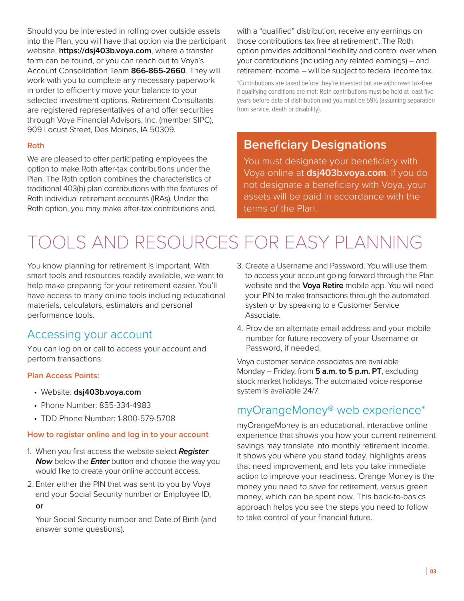Should you be interested in rolling over outside assets into the Plan, you will have that option via the participant website, **https://dsj403b.voya.com**, where a transfer form can be found, or you can reach out to Voya's Account Consolidation Team **866-865-2660**. They will work with you to complete any necessary paperwork in order to efficiently move your balance to your selected investment options. Retirement Consultants are registered representatives of and offer securities through Voya Financial Advisors, Inc. (member SIPC), 909 Locust Street, Des Moines, IA 50309.

#### **Roth**

We are pleased to offer participating employees the option to make Roth after-tax contributions under the Plan. The Roth option combines the characteristics of traditional 403(b) plan contributions with the features of Roth individual retirement accounts (IRAs). Under the Roth option, you may make after-tax contributions and,

with a "qualified" distribution, receive any earnings on those contributions tax free at retirement\*. The Roth option provides additional flexibility and control over when your contributions (including any related earnings) – and retirement income – will be subject to federal income tax.

\*Contributions are taxed before they're invested but are withdrawn tax-free if qualifying conditions are met: Roth contributions must be held at least five years before date of distribution and you must be 59½ (assuming separation from service, death or disability).

## **Beneficiary Designations**

You must designate your beneficiary with Voya online at **dsj403b.voya.com**. If you do not designate a beneficiary with Voya, your assets will be paid in accordance with the terms of the Plan.

## TOOLS AND RESOURCES FOR EASY PLANNING

You know planning for retirement is important. With smart tools and resources readily available, we want to help make preparing for your retirement easier. You'll have access to many online tools including educational materials, calculators, estimators and personal performance tools.

### Accessing your account

You can log on or call to access your account and perform transactions.

#### **Plan Access Points:**

- Website: **dsj403b.voya.com**
- Phone Number: 855-334-4983
- TDD Phone Number: 1-800-579-5708

#### **How to register online and log in to your account**

- 1. When you first access the website select **Register Now** below the **Enter** button and choose the way you would like to create your online account access.
- 2. Enter either the PIN that was sent to you by Voya and your Social Security number or Employee ID,

#### **or**

 Your Social Security number and Date of Birth (and answer some questions).

- 3. Create a Username and Password. You will use them to access your account going forward through the Plan website and the **Voya Retire** mobile app. You will need your PIN to make transactions through the automated systen or by speaking to a Customer Service Associate.
- 4. Provide an alternate email address and your mobile number for future recovery of your Username or Password, if needed.

Voya customer service associates are available Monday – Friday, from **5 a.m. to 5 p.m. PT**, excluding stock market holidays. The automated voice response system is available 24/7.

## myOrangeMoney® web experience\*

myOrangeMoney is an educational, interactive online experience that shows you how your current retirement savings may translate into monthly retirement income. It shows you where you stand today, highlights areas that need improvement, and lets you take immediate action to improve your readiness. Orange Money is the money you need to save for retirement, versus green money, which can be spent now. This back-to-basics approach helps you see the steps you need to follow to take control of your financial future.